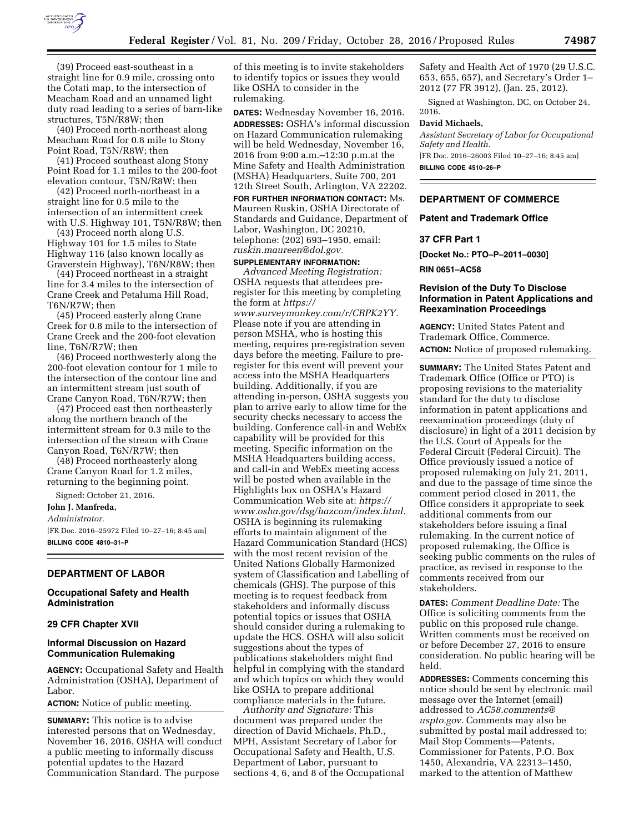

(39) Proceed east-southeast in a straight line for 0.9 mile, crossing onto the Cotati map, to the intersection of Meacham Road and an unnamed light duty road leading to a series of barn-like structures, T5N/R8W; then

(40) Proceed north-northeast along Meacham Road for 0.8 mile to Stony Point Road, T5N/R8W; then

(41) Proceed southeast along Stony Point Road for 1.1 miles to the 200-foot elevation contour, T5N/R8W; then

(42) Proceed north-northeast in a straight line for 0.5 mile to the intersection of an intermittent creek with U.S. Highway 101, T5N/R8W; then

(43) Proceed north along U.S. Highway 101 for 1.5 miles to State Highway 116 (also known locally as Graverstein Highway), T6N/R8W; then

(44) Proceed northeast in a straight line for 3.4 miles to the intersection of Crane Creek and Petaluma Hill Road, T6N/R7W; then

(45) Proceed easterly along Crane Creek for 0.8 mile to the intersection of Crane Creek and the 200-foot elevation line, T6N/R7W; then

(46) Proceed northwesterly along the 200-foot elevation contour for 1 mile to the intersection of the contour line and an intermittent stream just south of Crane Canyon Road, T6N/R7W; then

(47) Proceed east then northeasterly along the northern branch of the intermittent stream for 0.3 mile to the intersection of the stream with Crane Canyon Road, T6N/R7W; then

(48) Proceed northeasterly along Crane Canyon Road for 1.2 miles, returning to the beginning point.

Signed: October 21, 2016.

# **John J. Manfreda,**

*Administrator.* 

[FR Doc. 2016–25972 Filed 10–27–16; 8:45 am] **BILLING CODE 4810–31–P** 

### **DEPARTMENT OF LABOR**

# **Occupational Safety and Health Administration**

### **29 CFR Chapter XVII**

# **Informal Discussion on Hazard Communication Rulemaking**

**AGENCY:** Occupational Safety and Health Administration (OSHA), Department of Labor.

**ACTION:** Notice of public meeting.

**SUMMARY:** This notice is to advise interested persons that on Wednesday, November 16, 2016, OSHA will conduct a public meeting to informally discuss potential updates to the Hazard Communication Standard. The purpose

of this meeting is to invite stakeholders to identify topics or issues they would like OSHA to consider in the rulemaking.

**DATES:** Wednesday November 16, 2016. **ADDRESSES:** OSHA's informal discussion on Hazard Communication rulemaking will be held Wednesday, November 16, 2016 from 9:00 a.m.–12:30 p.m.at the Mine Safety and Health Administration (MSHA) Headquarters, Suite 700, 201 12th Street South, Arlington, VA 22202.

**FOR FURTHER INFORMATION CONTACT:** Ms. Maureen Ruskin, OSHA Directorate of Standards and Guidance, Department of Labor, Washington, DC 20210, telephone: (202) 693–1950, email: *[ruskin.maureen@dol.gov.](mailto:ruskin.maureen@dol.gov)* 

# **SUPPLEMENTARY INFORMATION:**

*Advanced Meeting Registration:*  OSHA requests that attendees preregister for this meeting by completing the form at *[https://](https://www.surveymonkey.com/r/CRPK2YY)*

*[www.surveymonkey.com/r/CRPK2YY.](https://www.surveymonkey.com/r/CRPK2YY)*  Please note if you are attending in person MSHA, who is hosting this meeting, requires pre-registration seven days before the meeting. Failure to preregister for this event will prevent your access into the MSHA Headquarters building. Additionally, if you are attending in-person, OSHA suggests you plan to arrive early to allow time for the security checks necessary to access the building. Conference call-in and WebEx capability will be provided for this meeting. Specific information on the MSHA Headquarters building access, and call-in and WebEx meeting access will be posted when available in the Highlights box on OSHA's Hazard Communication Web site at: *[https://](https://www.osha.gov/dsg/hazcom/index.html) [www.osha.gov/dsg/hazcom/index.html.](https://www.osha.gov/dsg/hazcom/index.html)*  OSHA is beginning its rulemaking efforts to maintain alignment of the Hazard Communication Standard (HCS) with the most recent revision of the United Nations Globally Harmonized system of Classification and Labelling of chemicals (GHS). The purpose of this meeting is to request feedback from stakeholders and informally discuss potential topics or issues that OSHA should consider during a rulemaking to update the HCS. OSHA will also solicit suggestions about the types of publications stakeholders might find helpful in complying with the standard and which topics on which they would like OSHA to prepare additional compliance materials in the future.

*Authority and Signature:* This document was prepared under the direction of David Michaels, Ph.D., MPH, Assistant Secretary of Labor for Occupational Safety and Health, U.S. Department of Labor, pursuant to sections 4, 6, and 8 of the Occupational Safety and Health Act of 1970 (29 U.S.C. 653, 655, 657), and Secretary's Order 1– 2012 (77 FR 3912), (Jan. 25, 2012).

Signed at Washington, DC, on October 24, 2016.

#### **David Michaels,**

*Assistant Secretary of Labor for Occupational Safety and Health.*  [FR Doc. 2016–26003 Filed 10–27–16; 8:45 am]

**BILLING CODE 4510–26–P** 

#### **DEPARTMENT OF COMMERCE**

## **Patent and Trademark Office**

#### **37 CFR Part 1**

**[Docket No.: PTO–P–2011–0030]** 

**RIN 0651–AC58** 

# **Revision of the Duty To Disclose Information in Patent Applications and Reexamination Proceedings**

**AGENCY:** United States Patent and Trademark Office, Commerce. **ACTION:** Notice of proposed rulemaking.

**SUMMARY:** The United States Patent and Trademark Office (Office or PTO) is proposing revisions to the materiality standard for the duty to disclose information in patent applications and reexamination proceedings (duty of disclosure) in light of a 2011 decision by the U.S. Court of Appeals for the Federal Circuit (Federal Circuit). The Office previously issued a notice of proposed rulemaking on July 21, 2011, and due to the passage of time since the comment period closed in 2011, the Office considers it appropriate to seek additional comments from our stakeholders before issuing a final rulemaking. In the current notice of proposed rulemaking, the Office is seeking public comments on the rules of practice, as revised in response to the comments received from our stakeholders.

**DATES:** *Comment Deadline Date:* The Office is soliciting comments from the public on this proposed rule change. Written comments must be received on or before December 27, 2016 to ensure consideration. No public hearing will be held.

**ADDRESSES:** Comments concerning this notice should be sent by electronic mail message over the Internet (email) addressed to *[AC58.comments@](mailto:AC58.comments@uspto.gov) [uspto.gov.](mailto:AC58.comments@uspto.gov)* Comments may also be submitted by postal mail addressed to: Mail Stop Comments—Patents, Commissioner for Patents, P.O. Box 1450, Alexandria, VA 22313–1450, marked to the attention of Matthew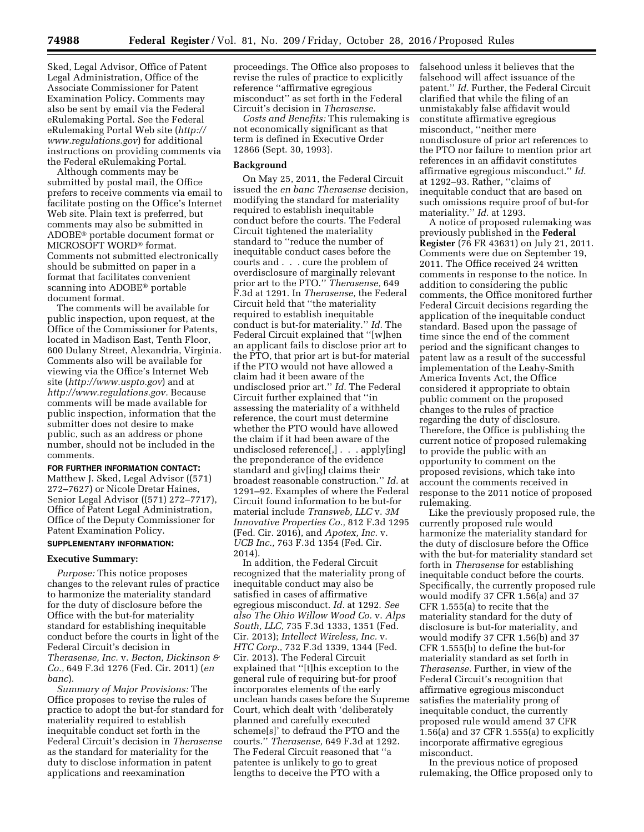Sked, Legal Advisor, Office of Patent Legal Administration, Office of the Associate Commissioner for Patent Examination Policy. Comments may also be sent by email via the Federal eRulemaking Portal. See the Federal eRulemaking Portal Web site (*[http://](http://www.regulations.gov) [www.regulations.gov](http://www.regulations.gov)*) for additional instructions on providing comments via the Federal eRulemaking Portal.

Although comments may be submitted by postal mail, the Office prefers to receive comments via email to facilitate posting on the Office's Internet Web site. Plain text is preferred, but comments may also be submitted in ADOBE® portable document format or MICROSOFT WORD® format. Comments not submitted electronically should be submitted on paper in a format that facilitates convenient scanning into ADOBE® portable document format.

The comments will be available for public inspection, upon request, at the Office of the Commissioner for Patents, located in Madison East, Tenth Floor, 600 Dulany Street, Alexandria, Virginia. Comments also will be available for viewing via the Office's Internet Web site (*<http://www.uspto.gov>*) and at *[http://www.regulations.gov.](http://www.regulations.gov)* Because comments will be made available for public inspection, information that the submitter does not desire to make public, such as an address or phone number, should not be included in the comments.

**FOR FURTHER INFORMATION CONTACT:** 

Matthew J. Sked, Legal Advisor ((571) 272–7627) or Nicole Dretar Haines, Senior Legal Advisor ((571) 272–7717), Office of Patent Legal Administration, Office of the Deputy Commissioner for Patent Examination Policy.

# **SUPPLEMENTARY INFORMATION:**

### **Executive Summary:**

*Purpose:* This notice proposes changes to the relevant rules of practice to harmonize the materiality standard for the duty of disclosure before the Office with the but-for materiality standard for establishing inequitable conduct before the courts in light of the Federal Circuit's decision in *Therasense, Inc.* v. *Becton, Dickinson & Co.,* 649 F.3d 1276 (Fed. Cir. 2011) (*en banc*).

*Summary of Major Provisions:* The Office proposes to revise the rules of practice to adopt the but-for standard for materiality required to establish inequitable conduct set forth in the Federal Circuit's decision in *Therasense*  as the standard for materiality for the duty to disclose information in patent applications and reexamination

proceedings. The Office also proposes to revise the rules of practice to explicitly reference ''affirmative egregious misconduct'' as set forth in the Federal Circuit's decision in *Therasense.* 

*Costs and Benefits:* This rulemaking is not economically significant as that term is defined in Executive Order 12866 (Sept. 30, 1993).

## **Background**

On May 25, 2011, the Federal Circuit issued the *en banc Therasense* decision, modifying the standard for materiality required to establish inequitable conduct before the courts. The Federal Circuit tightened the materiality standard to "reduce the number of inequitable conduct cases before the courts and . . . cure the problem of overdisclosure of marginally relevant prior art to the PTO.'' *Therasense,* 649 F.3d at 1291. In *Therasense,* the Federal Circuit held that ''the materiality required to establish inequitable conduct is but-for materiality.'' *Id.* The Federal Circuit explained that ''[w]hen an applicant fails to disclose prior art to the PTO, that prior art is but-for material if the PTO would not have allowed a claim had it been aware of the undisclosed prior art.'' *Id.* The Federal Circuit further explained that ''in assessing the materiality of a withheld reference, the court must determine whether the PTO would have allowed the claim if it had been aware of the undisclosed reference[,] . . . apply[ing] the preponderance of the evidence standard and giv[ing] claims their broadest reasonable construction.'' *Id.* at 1291–92. Examples of where the Federal Circuit found information to be but-for material include *Transweb, LLC* v. *3M Innovative Properties Co.,* 812 F.3d 1295 (Fed. Cir. 2016), and *Apotex, Inc.* v. *UCB Inc.,* 763 F.3d 1354 (Fed. Cir. 2014).

In addition, the Federal Circuit recognized that the materiality prong of inequitable conduct may also be satisfied in cases of affirmative egregious misconduct. *Id.* at 1292. *See also The Ohio Willow Wood Co.* v. *Alps South, LLC,* 735 F.3d 1333, 1351 (Fed. Cir. 2013); *Intellect Wireless, Inc.* v. *HTC Corp.,* 732 F.3d 1339, 1344 (Fed. Cir. 2013). The Federal Circuit explained that ''[t]his exception to the general rule of requiring but-for proof incorporates elements of the early unclean hands cases before the Supreme Court, which dealt with 'deliberately planned and carefully executed scheme[s]' to defraud the PTO and the courts.'' *Therasense,* 649 F.3d at 1292. The Federal Circuit reasoned that ''a patentee is unlikely to go to great lengths to deceive the PTO with a

falsehood unless it believes that the falsehood will affect issuance of the patent.'' *Id.* Further, the Federal Circuit clarified that while the filing of an unmistakably false affidavit would constitute affirmative egregious misconduct, ''neither mere nondisclosure of prior art references to the PTO nor failure to mention prior art references in an affidavit constitutes affirmative egregious misconduct.'' *Id.*  at 1292–93. Rather, ''claims of inequitable conduct that are based on such omissions require proof of but-for materiality.'' *Id.* at 1293.

A notice of proposed rulemaking was previously published in the **Federal Register** (76 FR 43631) on July 21, 2011. Comments were due on September 19, 2011. The Office received 24 written comments in response to the notice. In addition to considering the public comments, the Office monitored further Federal Circuit decisions regarding the application of the inequitable conduct standard. Based upon the passage of time since the end of the comment period and the significant changes to patent law as a result of the successful implementation of the Leahy-Smith America Invents Act, the Office considered it appropriate to obtain public comment on the proposed changes to the rules of practice regarding the duty of disclosure. Therefore, the Office is publishing the current notice of proposed rulemaking to provide the public with an opportunity to comment on the proposed revisions, which take into account the comments received in response to the 2011 notice of proposed rulemaking.

Like the previously proposed rule, the currently proposed rule would harmonize the materiality standard for the duty of disclosure before the Office with the but-for materiality standard set forth in *Therasense* for establishing inequitable conduct before the courts. Specifically, the currently proposed rule would modify 37 CFR 1.56(a) and 37 CFR 1.555(a) to recite that the materiality standard for the duty of disclosure is but-for materiality, and would modify 37 CFR 1.56(b) and 37 CFR 1.555(b) to define the but-for materiality standard as set forth in *Therasense.* Further, in view of the Federal Circuit's recognition that affirmative egregious misconduct satisfies the materiality prong of inequitable conduct, the currently proposed rule would amend 37 CFR 1.56(a) and 37 CFR 1.555(a) to explicitly incorporate affirmative egregious misconduct.

In the previous notice of proposed rulemaking, the Office proposed only to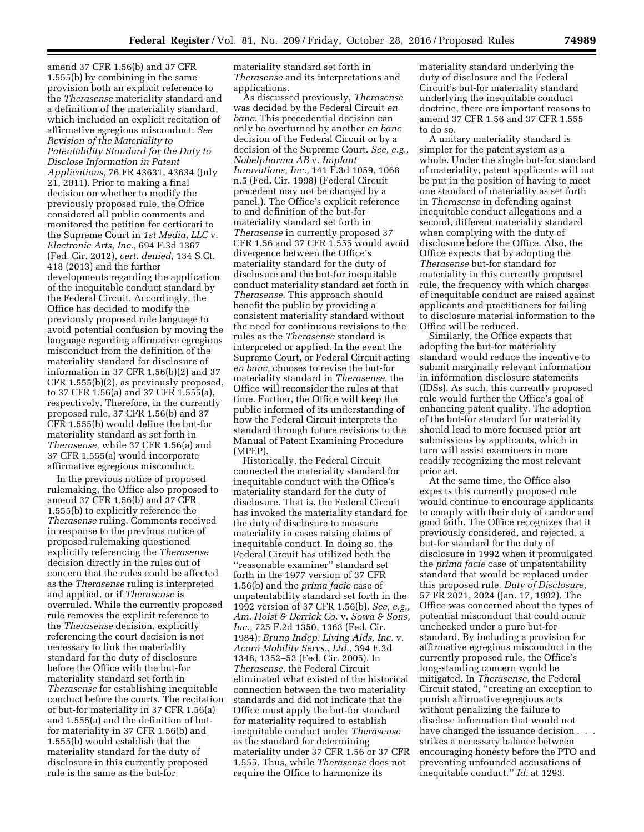amend 37 CFR 1.56(b) and 37 CFR 1.555(b) by combining in the same provision both an explicit reference to the *Therasense* materiality standard and a definition of the materiality standard, which included an explicit recitation of affirmative egregious misconduct. *See Revision of the Materiality to Patentability Standard for the Duty to Disclose Information in Patent Applications,* 76 FR 43631, 43634 (July 21, 2011). Prior to making a final decision on whether to modify the previously proposed rule, the Office considered all public comments and monitored the petition for certiorari to the Supreme Court in *1st Media, LLC* v. *Electronic Arts, Inc.,* 694 F.3d 1367 (Fed. Cir. 2012), *cert. denied,* 134 S.Ct. 418 (2013) and the further developments regarding the application of the inequitable conduct standard by the Federal Circuit. Accordingly, the Office has decided to modify the previously proposed rule language to avoid potential confusion by moving the language regarding affirmative egregious misconduct from the definition of the materiality standard for disclosure of information in 37 CFR 1.56(b)(2) and 37 CFR 1.555(b)(2), as previously proposed, to 37 CFR 1.56(a) and 37 CFR 1.555(a), respectively. Therefore, in the currently proposed rule, 37 CFR 1.56(b) and 37 CFR 1.555(b) would define the but-for materiality standard as set forth in *Therasense,* while 37 CFR 1.56(a) and 37 CFR 1.555(a) would incorporate affirmative egregious misconduct.

In the previous notice of proposed rulemaking, the Office also proposed to amend 37 CFR 1.56(b) and 37 CFR 1.555(b) to explicitly reference the *Therasense* ruling. Comments received in response to the previous notice of proposed rulemaking questioned explicitly referencing the *Therasense*  decision directly in the rules out of concern that the rules could be affected as the *Therasense* ruling is interpreted and applied, or if *Therasense* is overruled. While the currently proposed rule removes the explicit reference to the *Therasense* decision, explicitly referencing the court decision is not necessary to link the materiality standard for the duty of disclosure before the Office with the but-for materiality standard set forth in *Therasense* for establishing inequitable conduct before the courts. The recitation of but-for materiality in 37 CFR 1.56(a) and 1.555(a) and the definition of butfor materiality in 37 CFR 1.56(b) and 1.555(b) would establish that the materiality standard for the duty of disclosure in this currently proposed rule is the same as the but-for

materiality standard set forth in *Therasense* and its interpretations and applications.

As discussed previously, *Therasense*  was decided by the Federal Circuit *en banc.* This precedential decision can only be overturned by another *en banc*  decision of the Federal Circuit or by a decision of the Supreme Court. *See, e.g., Nobelpharma AB* v. *Implant Innovations, Inc.,* 141 F.3d 1059, 1068 n.5 (Fed. Cir. 1998) (Federal Circuit precedent may not be changed by a panel.). The Office's explicit reference to and definition of the but-for materiality standard set forth in *Therasense* in currently proposed 37 CFR 1.56 and 37 CFR 1.555 would avoid divergence between the Office's materiality standard for the duty of disclosure and the but-for inequitable conduct materiality standard set forth in *Therasense.* This approach should benefit the public by providing a consistent materiality standard without the need for continuous revisions to the rules as the *Therasense* standard is interpreted or applied. In the event the Supreme Court, or Federal Circuit acting *en banc,* chooses to revise the but-for materiality standard in *Therasense,* the Office will reconsider the rules at that time. Further, the Office will keep the public informed of its understanding of how the Federal Circuit interprets the standard through future revisions to the Manual of Patent Examining Procedure (MPEP).

Historically, the Federal Circuit connected the materiality standard for inequitable conduct with the Office's materiality standard for the duty of disclosure. That is, the Federal Circuit has invoked the materiality standard for the duty of disclosure to measure materiality in cases raising claims of inequitable conduct. In doing so, the Federal Circuit has utilized both the ''reasonable examiner'' standard set forth in the 1977 version of 37 CFR 1.56(b) and the *prima facie* case of unpatentability standard set forth in the 1992 version of 37 CFR 1.56(b). *See, e.g., Am. Hoist & Derrick Co.* v. *Sowa & Sons, Inc.,* 725 F.2d 1350, 1363 (Fed. Cir. 1984); *Bruno Indep. Living Aids, Inc.* v. *Acorn Mobility Servs., Ltd.,* 394 F.3d 1348, 1352–53 (Fed. Cir. 2005). In *Therasense,* the Federal Circuit eliminated what existed of the historical connection between the two materiality standards and did not indicate that the Office must apply the but-for standard for materiality required to establish inequitable conduct under *Therasense*  as the standard for determining materiality under 37 CFR 1.56 or 37 CFR 1.555. Thus, while *Therasense* does not require the Office to harmonize its

materiality standard underlying the duty of disclosure and the Federal Circuit's but-for materiality standard underlying the inequitable conduct doctrine, there are important reasons to amend 37 CFR 1.56 and 37 CFR 1.555 to do so.

A unitary materiality standard is simpler for the patent system as a whole. Under the single but-for standard of materiality, patent applicants will not be put in the position of having to meet one standard of materiality as set forth in *Therasense* in defending against inequitable conduct allegations and a second, different materiality standard when complying with the duty of disclosure before the Office. Also, the Office expects that by adopting the *Therasense* but-for standard for materiality in this currently proposed rule, the frequency with which charges of inequitable conduct are raised against applicants and practitioners for failing to disclosure material information to the Office will be reduced.

Similarly, the Office expects that adopting the but-for materiality standard would reduce the incentive to submit marginally relevant information in information disclosure statements (IDSs). As such, this currently proposed rule would further the Office's goal of enhancing patent quality. The adoption of the but-for standard for materiality should lead to more focused prior art submissions by applicants, which in turn will assist examiners in more readily recognizing the most relevant prior art.

At the same time, the Office also expects this currently proposed rule would continue to encourage applicants to comply with their duty of candor and good faith. The Office recognizes that it previously considered, and rejected, a but-for standard for the duty of disclosure in 1992 when it promulgated the *prima facie* case of unpatentability standard that would be replaced under this proposed rule. *Duty of Disclosure,*  57 FR 2021, 2024 (Jan. 17, 1992). The Office was concerned about the types of potential misconduct that could occur unchecked under a pure but-for standard. By including a provision for affirmative egregious misconduct in the currently proposed rule, the Office's long-standing concern would be mitigated. In *Therasense,* the Federal Circuit stated, ''creating an exception to punish affirmative egregious acts without penalizing the failure to disclose information that would not have changed the issuance decision. strikes a necessary balance between encouraging honesty before the PTO and preventing unfounded accusations of inequitable conduct.'' *Id.* at 1293.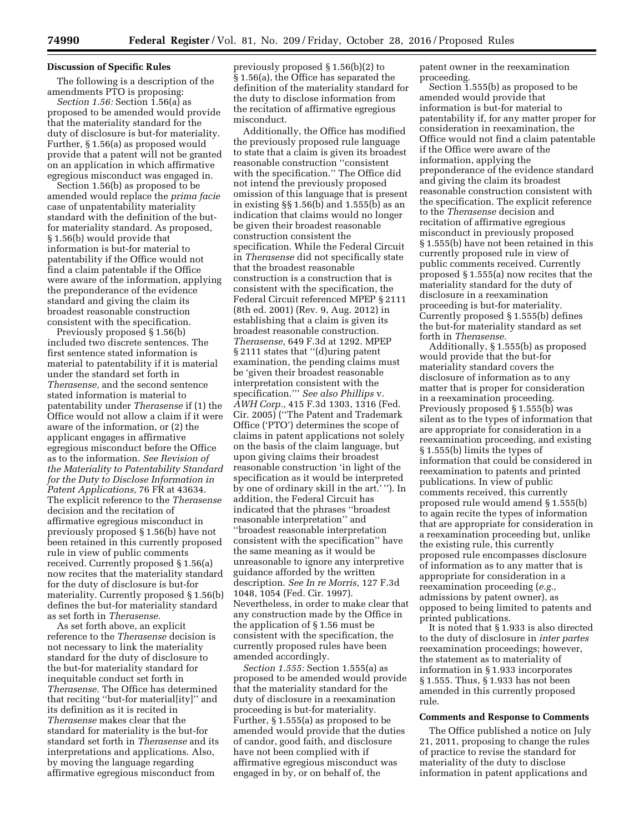### **Discussion of Specific Rules**

The following is a description of the amendments PTO is proposing:

*Section 1.56:* Section 1.56(a) as proposed to be amended would provide that the materiality standard for the duty of disclosure is but-for materiality. Further, § 1.56(a) as proposed would provide that a patent will not be granted on an application in which affirmative egregious misconduct was engaged in.

Section 1.56(b) as proposed to be amended would replace the *prima facie*  case of unpatentability materiality standard with the definition of the butfor materiality standard. As proposed, § 1.56(b) would provide that information is but-for material to patentability if the Office would not find a claim patentable if the Office were aware of the information, applying the preponderance of the evidence standard and giving the claim its broadest reasonable construction consistent with the specification.

Previously proposed § 1.56(b) included two discrete sentences. The first sentence stated information is material to patentability if it is material under the standard set forth in *Therasense,* and the second sentence stated information is material to patentability under *Therasense* if (1) the Office would not allow a claim if it were aware of the information, or (2) the applicant engages in affirmative egregious misconduct before the Office as to the information. *See Revision of the Materiality to Patentability Standard for the Duty to Disclose Information in Patent Applications,* 76 FR at 43634. The explicit reference to the *Therasense*  decision and the recitation of affirmative egregious misconduct in previously proposed § 1.56(b) have not been retained in this currently proposed rule in view of public comments received. Currently proposed § 1.56(a) now recites that the materiality standard for the duty of disclosure is but-for materiality. Currently proposed § 1.56(b) defines the but-for materiality standard as set forth in *Therasense.* 

As set forth above, an explicit reference to the *Therasense* decision is not necessary to link the materiality standard for the duty of disclosure to the but-for materiality standard for inequitable conduct set forth in *Therasense.* The Office has determined that reciting ''but-for material[ity]'' and its definition as it is recited in *Therasense* makes clear that the standard for materiality is the but-for standard set forth in *Therasense* and its interpretations and applications. Also, by moving the language regarding affirmative egregious misconduct from

previously proposed § 1.56(b)(2) to § 1.56(a), the Office has separated the definition of the materiality standard for the duty to disclose information from the recitation of affirmative egregious misconduct.

Additionally, the Office has modified the previously proposed rule language to state that a claim is given its broadest reasonable construction ''consistent with the specification.'' The Office did not intend the previously proposed omission of this language that is present in existing §§ 1.56(b) and 1.555(b) as an indication that claims would no longer be given their broadest reasonable construction consistent the specification. While the Federal Circuit in *Therasense* did not specifically state that the broadest reasonable construction is a construction that is consistent with the specification, the Federal Circuit referenced MPEP § 2111 (8th ed. 2001) (Rev. 9, Aug. 2012) in establishing that a claim is given its broadest reasonable construction. *Therasense,* 649 F.3d at 1292. MPEP § 2111 states that ''(d)uring patent examination, the pending claims must be 'given their broadest reasonable interpretation consistent with the specification.''' *See also Phillips* v. *AWH Corp.,* 415 F.3d 1303, 1316 (Fed. Cir. 2005) (''The Patent and Trademark Office ('PTO') determines the scope of claims in patent applications not solely on the basis of the claim language, but upon giving claims their broadest reasonable construction 'in light of the specification as it would be interpreted by one of ordinary skill in the art.' ''). In addition, the Federal Circuit has indicated that the phrases ''broadest reasonable interpretation'' and ''broadest reasonable interpretation consistent with the specification'' have the same meaning as it would be unreasonable to ignore any interpretive guidance afforded by the written description. *See In re Morris,* 127 F.3d 1048, 1054 (Fed. Cir. 1997). Nevertheless, in order to make clear that any construction made by the Office in the application of § 1.56 must be consistent with the specification, the currently proposed rules have been amended accordingly.

*Section 1.555:* Section 1.555(a) as proposed to be amended would provide that the materiality standard for the duty of disclosure in a reexamination proceeding is but-for materiality. Further, § 1.555(a) as proposed to be amended would provide that the duties of candor, good faith, and disclosure have not been complied with if affirmative egregious misconduct was engaged in by, or on behalf of, the

patent owner in the reexamination proceeding.

Section 1.555(b) as proposed to be amended would provide that information is but-for material to patentability if, for any matter proper for consideration in reexamination, the Office would not find a claim patentable if the Office were aware of the information, applying the preponderance of the evidence standard and giving the claim its broadest reasonable construction consistent with the specification. The explicit reference to the *Therasense* decision and recitation of affirmative egregious misconduct in previously proposed § 1.555(b) have not been retained in this currently proposed rule in view of public comments received. Currently proposed § 1.555(a) now recites that the materiality standard for the duty of disclosure in a reexamination proceeding is but-for materiality. Currently proposed § 1.555(b) defines the but-for materiality standard as set forth in *Therasense.* 

Additionally, § 1.555(b) as proposed would provide that the but-for materiality standard covers the disclosure of information as to any matter that is proper for consideration in a reexamination proceeding. Previously proposed § 1.555(b) was silent as to the types of information that are appropriate for consideration in a reexamination proceeding, and existing § 1.555(b) limits the types of information that could be considered in reexamination to patents and printed publications. In view of public comments received, this currently proposed rule would amend § 1.555(b) to again recite the types of information that are appropriate for consideration in a reexamination proceeding but, unlike the existing rule, this currently proposed rule encompasses disclosure of information as to any matter that is appropriate for consideration in a reexamination proceeding (*e.g.,*  admissions by patent owner), as opposed to being limited to patents and printed publications.

It is noted that § 1.933 is also directed to the duty of disclosure in *inter partes*  reexamination proceedings; however, the statement as to materiality of information in § 1.933 incorporates § 1.555. Thus, § 1.933 has not been amended in this currently proposed rule.

#### **Comments and Response to Comments**

The Office published a notice on July 21, 2011, proposing to change the rules of practice to revise the standard for materiality of the duty to disclose information in patent applications and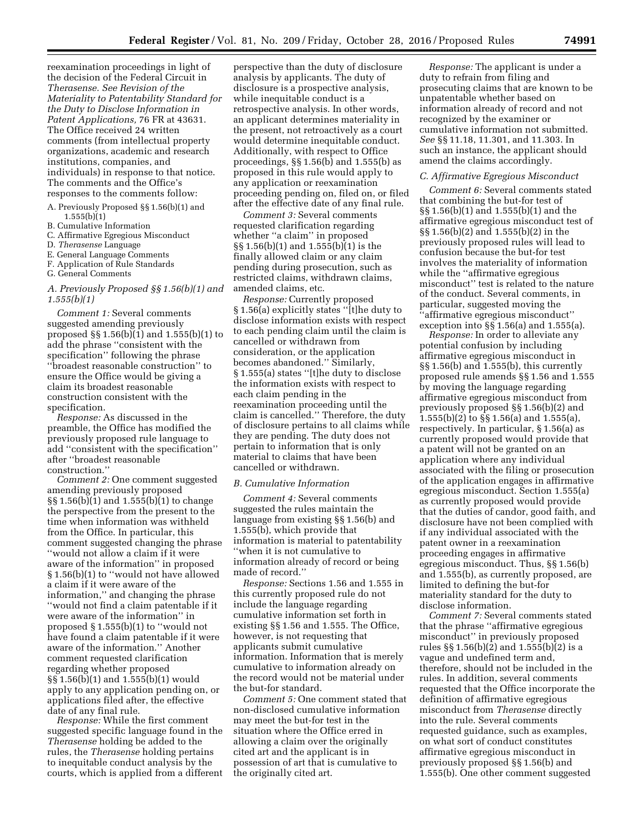reexamination proceedings in light of the decision of the Federal Circuit in *Therasense. See Revision of the Materiality to Patentability Standard for the Duty to Disclose Information in Patent Applications,* 76 FR at 43631. The Office received 24 written comments (from intellectual property organizations, academic and research institutions, companies, and individuals) in response to that notice. The comments and the Office's responses to the comments follow:

- A. Previously Proposed §§ 1.56(b)(1) and  $1.555(b)(1)$
- B. Cumulative Information
- C. Affirmative Egregious Misconduct
- D. *Therasense* Language
- E. General Language Comments
- F. Application of Rule Standards
- G. General Comments

# *A. Previously Proposed §§ 1.56(b)(1) and 1.555(b)(1)*

*Comment 1:* Several comments suggested amending previously proposed §§ 1.56(b)(1) and 1.555(b)(1) to add the phrase ''consistent with the specification'' following the phrase ''broadest reasonable construction'' to ensure the Office would be giving a claim its broadest reasonable construction consistent with the specification.

*Response:* As discussed in the preamble, the Office has modified the previously proposed rule language to add ''consistent with the specification'' after ''broadest reasonable construction.''

*Comment 2:* One comment suggested amending previously proposed §§ 1.56(b)(1) and 1.555(b)(1) to change the perspective from the present to the time when information was withheld from the Office. In particular, this comment suggested changing the phrase ''would not allow a claim if it were aware of the information'' in proposed § 1.56(b)(1) to ''would not have allowed a claim if it were aware of the information,'' and changing the phrase ''would not find a claim patentable if it were aware of the information'' in proposed § 1.555(b)(1) to ''would not have found a claim patentable if it were aware of the information.'' Another comment requested clarification regarding whether proposed §§ 1.56(b)(1) and 1.555(b)(1) would apply to any application pending on, or applications filed after, the effective date of any final rule.

*Response:* While the first comment suggested specific language found in the *Therasense* holding be added to the rules, the *Therasense* holding pertains to inequitable conduct analysis by the courts, which is applied from a different

perspective than the duty of disclosure analysis by applicants. The duty of disclosure is a prospective analysis, while inequitable conduct is a retrospective analysis. In other words, an applicant determines materiality in the present, not retroactively as a court would determine inequitable conduct. Additionally, with respect to Office proceedings, §§ 1.56(b) and 1.555(b) as proposed in this rule would apply to any application or reexamination proceeding pending on, filed on, or filed after the effective date of any final rule.

*Comment 3:* Several comments requested clarification regarding whether "a claim" in proposed §§ 1.56(b)(1) and 1.555(b)(1) is the finally allowed claim or any claim pending during prosecution, such as restricted claims, withdrawn claims, amended claims, etc.

*Response:* Currently proposed § 1.56(a) explicitly states ''[t]he duty to disclose information exists with respect to each pending claim until the claim is cancelled or withdrawn from consideration, or the application becomes abandoned.'' Similarly, § 1.555(a) states ''[t]he duty to disclose the information exists with respect to each claim pending in the reexamination proceeding until the claim is cancelled.'' Therefore, the duty of disclosure pertains to all claims while they are pending. The duty does not pertain to information that is only material to claims that have been cancelled or withdrawn.

#### *B. Cumulative Information*

*Comment 4:* Several comments suggested the rules maintain the language from existing §§ 1.56(b) and 1.555(b), which provide that information is material to patentability ''when it is not cumulative to information already of record or being made of record.''

*Response:* Sections 1.56 and 1.555 in this currently proposed rule do not include the language regarding cumulative information set forth in existing §§ 1.56 and 1.555. The Office, however, is not requesting that applicants submit cumulative information. Information that is merely cumulative to information already on the record would not be material under the but-for standard.

*Comment 5:* One comment stated that non-disclosed cumulative information may meet the but-for test in the situation where the Office erred in allowing a claim over the originally cited art and the applicant is in possession of art that is cumulative to the originally cited art.

*Response:* The applicant is under a duty to refrain from filing and prosecuting claims that are known to be unpatentable whether based on information already of record and not recognized by the examiner or cumulative information not submitted. *See* §§ 11.18, 11.301, and 11.303. In such an instance, the applicant should amend the claims accordingly.

#### *C. Affirmative Egregious Misconduct*

*Comment 6:* Several comments stated that combining the but-for test of §§ 1.56(b)(1) and 1.555(b)(1) and the affirmative egregious misconduct test of §§ 1.56(b)(2) and 1.555(b)(2) in the previously proposed rules will lead to confusion because the but-for test involves the materiality of information while the ''affirmative egregious misconduct'' test is related to the nature of the conduct. Several comments, in particular, suggested moving the ''affirmative egregious misconduct'' exception into §§ 1.56(a) and 1.555(a).

*Response:* In order to alleviate any potential confusion by including affirmative egregious misconduct in §§ 1.56(b) and 1.555(b), this currently proposed rule amends §§ 1.56 and 1.555 by moving the language regarding affirmative egregious misconduct from previously proposed §§ 1.56(b)(2) and 1.555(b)(2) to §§ 1.56(a) and 1.555(a), respectively. In particular, § 1.56(a) as currently proposed would provide that a patent will not be granted on an application where any individual associated with the filing or prosecution of the application engages in affirmative egregious misconduct. Section 1.555(a) as currently proposed would provide that the duties of candor, good faith, and disclosure have not been complied with if any individual associated with the patent owner in a reexamination proceeding engages in affirmative egregious misconduct. Thus, §§ 1.56(b) and 1.555(b), as currently proposed, are limited to defining the but-for materiality standard for the duty to disclose information.

*Comment 7:* Several comments stated that the phrase ''affirmative egregious misconduct'' in previously proposed rules §§ 1.56(b)(2) and 1.555(b)(2) is a vague and undefined term and, therefore, should not be included in the rules. In addition, several comments requested that the Office incorporate the definition of affirmative egregious misconduct from *Therasense* directly into the rule. Several comments requested guidance, such as examples, on what sort of conduct constitutes affirmative egregious misconduct in previously proposed §§ 1.56(b) and 1.555(b). One other comment suggested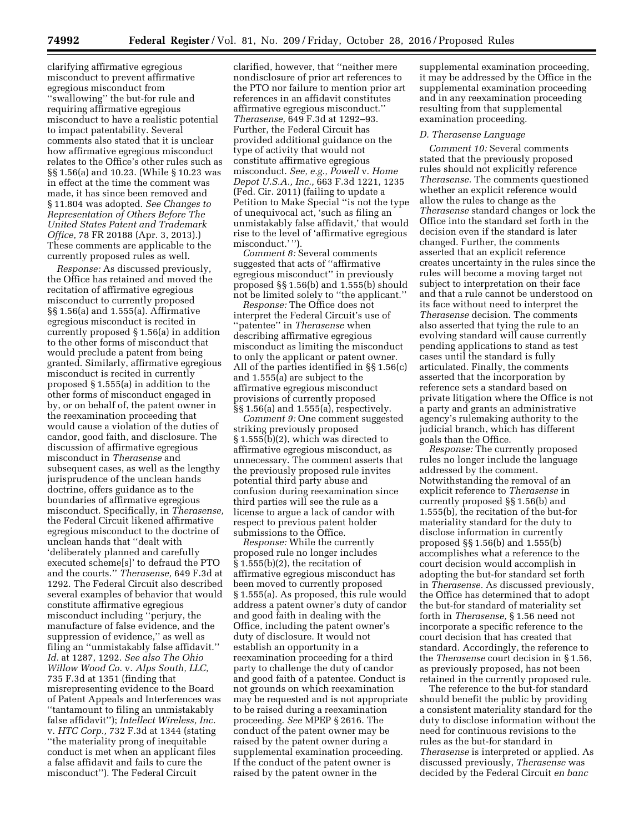clarifying affirmative egregious misconduct to prevent affirmative egregious misconduct from ''swallowing'' the but-for rule and requiring affirmative egregious misconduct to have a realistic potential to impact patentability. Several comments also stated that it is unclear how affirmative egregious misconduct relates to the Office's other rules such as §§ 1.56(a) and 10.23. (While § 10.23 was in effect at the time the comment was made, it has since been removed and § 11.804 was adopted. *See Changes to Representation of Others Before The United States Patent and Trademark Office,* 78 FR 20188 (Apr. 3, 2013).) These comments are applicable to the currently proposed rules as well.

*Response:* As discussed previously, the Office has retained and moved the recitation of affirmative egregious misconduct to currently proposed §§ 1.56(a) and 1.555(a). Affirmative egregious misconduct is recited in currently proposed § 1.56(a) in addition to the other forms of misconduct that would preclude a patent from being granted. Similarly, affirmative egregious misconduct is recited in currently proposed § 1.555(a) in addition to the other forms of misconduct engaged in by, or on behalf of, the patent owner in the reexamination proceeding that would cause a violation of the duties of candor, good faith, and disclosure. The discussion of affirmative egregious misconduct in *Therasense* and subsequent cases, as well as the lengthy jurisprudence of the unclean hands doctrine, offers guidance as to the boundaries of affirmative egregious misconduct. Specifically, in *Therasense,*  the Federal Circuit likened affirmative egregious misconduct to the doctrine of unclean hands that ''dealt with 'deliberately planned and carefully executed scheme[s]' to defraud the PTO and the courts.'' *Therasense,* 649 F.3d at 1292. The Federal Circuit also described several examples of behavior that would constitute affirmative egregious misconduct including ''perjury, the manufacture of false evidence, and the suppression of evidence," as well as filing an ''unmistakably false affidavit.'' *Id.* at 1287, 1292. *See also The Ohio Willow Wood Co.* v. *Alps South, LLC,*  735 F.3d at 1351 (finding that misrepresenting evidence to the Board of Patent Appeals and Interferences was ''tantamount to filing an unmistakably false affidavit''); *Intellect Wireless, Inc.*  v. *HTC Corp.,* 732 F.3d at 1344 (stating ''the materiality prong of inequitable conduct is met when an applicant files a false affidavit and fails to cure the misconduct''). The Federal Circuit

clarified, however, that ''neither mere nondisclosure of prior art references to the PTO nor failure to mention prior art references in an affidavit constitutes affirmative egregious misconduct.'' *Therasense,* 649 F.3d at 1292–93. Further, the Federal Circuit has provided additional guidance on the type of activity that would not constitute affirmative egregious misconduct. *See, e.g., Powell* v. *Home Depot U.S.A., Inc.,* 663 F.3d 1221, 1235 (Fed. Cir. 2011) (failing to update a Petition to Make Special ''is not the type of unequivocal act, 'such as filing an unmistakably false affidavit,' that would rise to the level of 'affirmative egregious misconduct.' '').

*Comment 8:* Several comments suggested that acts of ''affirmative egregious misconduct'' in previously proposed §§ 1.56(b) and 1.555(b) should not be limited solely to ''the applicant.''

*Response:* The Office does not interpret the Federal Circuit's use of ''patentee'' in *Therasense* when describing affirmative egregious misconduct as limiting the misconduct to only the applicant or patent owner. All of the parties identified in §§ 1.56(c) and 1.555(a) are subject to the affirmative egregious misconduct provisions of currently proposed §§ 1.56(a) and 1.555(a), respectively.

*Comment 9:* One comment suggested striking previously proposed § 1.555(b)(2), which was directed to affirmative egregious misconduct, as unnecessary. The comment asserts that the previously proposed rule invites potential third party abuse and confusion during reexamination since third parties will see the rule as a license to argue a lack of candor with respect to previous patent holder submissions to the Office.

*Response:* While the currently proposed rule no longer includes  $\S 1.555(b)(2)$ , the recitation of affirmative egregious misconduct has been moved to currently proposed § 1.555(a). As proposed, this rule would address a patent owner's duty of candor and good faith in dealing with the Office, including the patent owner's duty of disclosure. It would not establish an opportunity in a reexamination proceeding for a third party to challenge the duty of candor and good faith of a patentee. Conduct is not grounds on which reexamination may be requested and is not appropriate to be raised during a reexamination proceeding. *See* MPEP § 2616. The conduct of the patent owner may be raised by the patent owner during a supplemental examination proceeding. If the conduct of the patent owner is raised by the patent owner in the

supplemental examination proceeding, it may be addressed by the Office in the supplemental examination proceeding and in any reexamination proceeding resulting from that supplemental examination proceeding.

#### *D. Therasense Language*

*Comment 10:* Several comments stated that the previously proposed rules should not explicitly reference *Therasense.* The comments questioned whether an explicit reference would allow the rules to change as the *Therasense* standard changes or lock the Office into the standard set forth in the decision even if the standard is later changed. Further, the comments asserted that an explicit reference creates uncertainty in the rules since the rules will become a moving target not subject to interpretation on their face and that a rule cannot be understood on its face without need to interpret the *Therasense* decision. The comments also asserted that tying the rule to an evolving standard will cause currently pending applications to stand as test cases until the standard is fully articulated. Finally, the comments asserted that the incorporation by reference sets a standard based on private litigation where the Office is not a party and grants an administrative agency's rulemaking authority to the judicial branch, which has different goals than the Office.

*Response:* The currently proposed rules no longer include the language addressed by the comment. Notwithstanding the removal of an explicit reference to *Therasense* in currently proposed §§ 1.56(b) and 1.555(b), the recitation of the but-for materiality standard for the duty to disclose information in currently proposed §§ 1.56(b) and 1.555(b) accomplishes what a reference to the court decision would accomplish in adopting the but-for standard set forth in *Therasense.* As discussed previously, the Office has determined that to adopt the but-for standard of materiality set forth in *Therasense,* § 1.56 need not incorporate a specific reference to the court decision that has created that standard. Accordingly, the reference to the *Therasense* court decision in § 1.56, as previously proposed, has not been retained in the currently proposed rule.

The reference to the but-for standard should benefit the public by providing a consistent materiality standard for the duty to disclose information without the need for continuous revisions to the rules as the but-for standard in *Therasense* is interpreted or applied. As discussed previously, *Therasense* was decided by the Federal Circuit *en banc*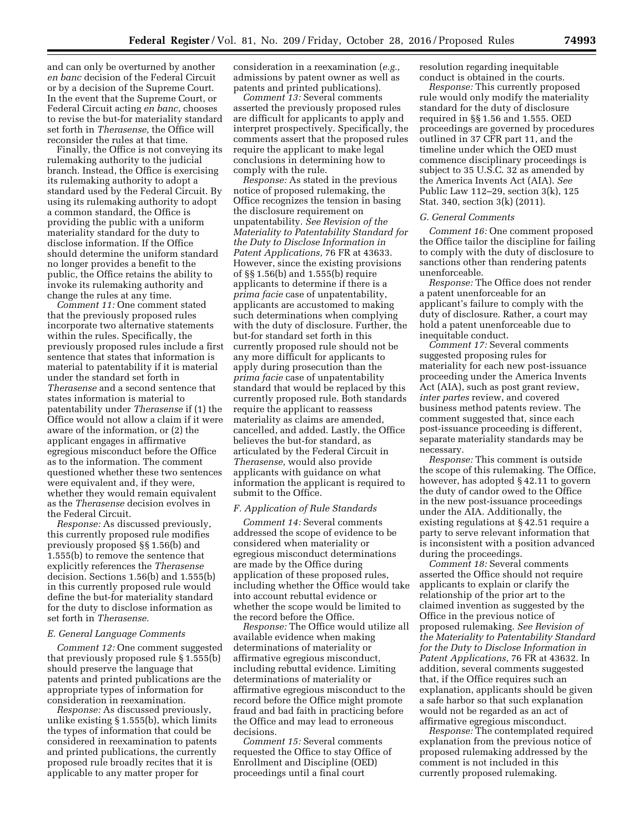and can only be overturned by another *en banc* decision of the Federal Circuit or by a decision of the Supreme Court. In the event that the Supreme Court, or Federal Circuit acting *en banc,* chooses to revise the but-for materiality standard set forth in *Therasense,* the Office will reconsider the rules at that time.

Finally, the Office is not conveying its rulemaking authority to the judicial branch. Instead, the Office is exercising its rulemaking authority to adopt a standard used by the Federal Circuit. By using its rulemaking authority to adopt a common standard, the Office is providing the public with a uniform materiality standard for the duty to disclose information. If the Office should determine the uniform standard no longer provides a benefit to the public, the Office retains the ability to invoke its rulemaking authority and change the rules at any time.

*Comment 11:* One comment stated that the previously proposed rules incorporate two alternative statements within the rules. Specifically, the previously proposed rules include a first sentence that states that information is material to patentability if it is material under the standard set forth in *Therasense* and a second sentence that states information is material to patentability under *Therasense* if (1) the Office would not allow a claim if it were aware of the information, or (2) the applicant engages in affirmative egregious misconduct before the Office as to the information. The comment questioned whether these two sentences were equivalent and, if they were, whether they would remain equivalent as the *Therasense* decision evolves in the Federal Circuit.

*Response:* As discussed previously, this currently proposed rule modifies previously proposed §§ 1.56(b) and 1.555(b) to remove the sentence that explicitly references the *Therasense*  decision. Sections 1.56(b) and 1.555(b) in this currently proposed rule would define the but-for materiality standard for the duty to disclose information as set forth in *Therasense.* 

## *E. General Language Comments*

*Comment 12:* One comment suggested that previously proposed rule § 1.555(b) should preserve the language that patents and printed publications are the appropriate types of information for consideration in reexamination.

*Response:* As discussed previously, unlike existing § 1.555(b), which limits the types of information that could be considered in reexamination to patents and printed publications, the currently proposed rule broadly recites that it is applicable to any matter proper for

consideration in a reexamination (*e.g.,*  admissions by patent owner as well as patents and printed publications).

*Comment 13:* Several comments asserted the previously proposed rules are difficult for applicants to apply and interpret prospectively. Specifically, the comments assert that the proposed rules require the applicant to make legal conclusions in determining how to comply with the rule.

*Response:* As stated in the previous notice of proposed rulemaking, the Office recognizes the tension in basing the disclosure requirement on unpatentability. *See Revision of the Materiality to Patentability Standard for the Duty to Disclose Information in Patent Applications,* 76 FR at 43633. However, since the existing provisions of §§ 1.56(b) and 1.555(b) require applicants to determine if there is a *prima facie* case of unpatentability, applicants are accustomed to making such determinations when complying with the duty of disclosure. Further, the but-for standard set forth in this currently proposed rule should not be any more difficult for applicants to apply during prosecution than the *prima facie* case of unpatentability standard that would be replaced by this currently proposed rule. Both standards require the applicant to reassess materiality as claims are amended, cancelled, and added. Lastly, the Office believes the but-for standard, as articulated by the Federal Circuit in *Therasense,* would also provide applicants with guidance on what information the applicant is required to submit to the Office.

#### *F. Application of Rule Standards*

*Comment 14:* Several comments addressed the scope of evidence to be considered when materiality or egregious misconduct determinations are made by the Office during application of these proposed rules, including whether the Office would take into account rebuttal evidence or whether the scope would be limited to the record before the Office.

*Response:* The Office would utilize all available evidence when making determinations of materiality or affirmative egregious misconduct, including rebuttal evidence. Limiting determinations of materiality or affirmative egregious misconduct to the record before the Office might promote fraud and bad faith in practicing before the Office and may lead to erroneous decisions.

*Comment 15:* Several comments requested the Office to stay Office of Enrollment and Discipline (OED) proceedings until a final court

resolution regarding inequitable conduct is obtained in the courts.

*Response:* This currently proposed rule would only modify the materiality standard for the duty of disclosure required in §§ 1.56 and 1.555. OED proceedings are governed by procedures outlined in 37 CFR part 11, and the timeline under which the OED must commence disciplinary proceedings is subject to 35 U.S.C. 32 as amended by the America Invents Act (AIA). *See*  Public Law 112–29, section 3(k), 125 Stat. 340, section 3(k) (2011).

### *G. General Comments*

*Comment 16:* One comment proposed the Office tailor the discipline for failing to comply with the duty of disclosure to sanctions other than rendering patents unenforceable.

*Response:* The Office does not render a patent unenforceable for an applicant's failure to comply with the duty of disclosure. Rather, a court may hold a patent unenforceable due to inequitable conduct.

*Comment 17:* Several comments suggested proposing rules for materiality for each new post-issuance proceeding under the America Invents Act (AIA), such as post grant review, *inter partes* review, and covered business method patents review. The comment suggested that, since each post-issuance proceeding is different, separate materiality standards may be necessary.

*Response:* This comment is outside the scope of this rulemaking. The Office, however, has adopted § 42.11 to govern the duty of candor owed to the Office in the new post-issuance proceedings under the AIA. Additionally, the existing regulations at § 42.51 require a party to serve relevant information that is inconsistent with a position advanced during the proceedings.

*Comment 18:* Several comments asserted the Office should not require applicants to explain or clarify the relationship of the prior art to the claimed invention as suggested by the Office in the previous notice of proposed rulemaking. *See Revision of the Materiality to Patentability Standard for the Duty to Disclose Information in Patent Applications,* 76 FR at 43632. In addition, several comments suggested that, if the Office requires such an explanation, applicants should be given a safe harbor so that such explanation would not be regarded as an act of affirmative egregious misconduct.

*Response:* The contemplated required explanation from the previous notice of proposed rulemaking addressed by the comment is not included in this currently proposed rulemaking.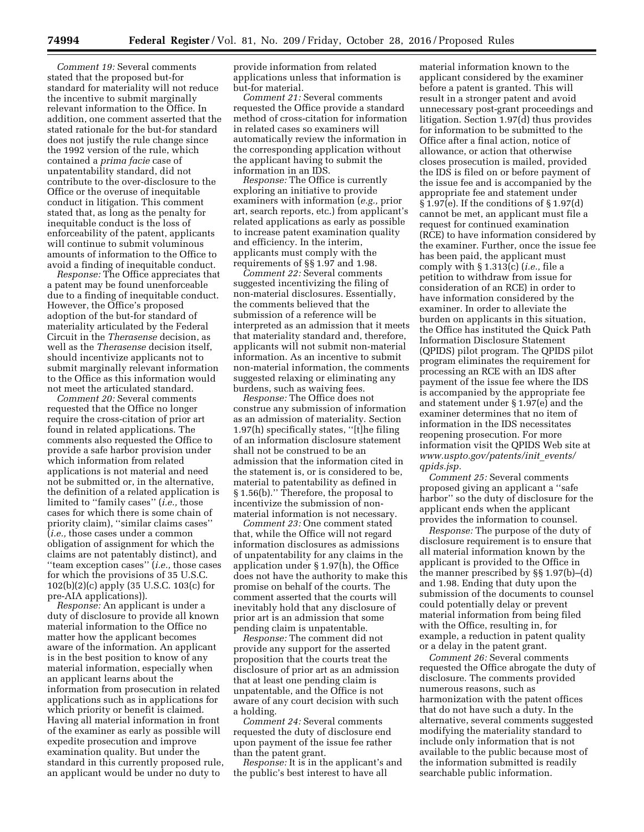*Comment 19:* Several comments stated that the proposed but-for standard for materiality will not reduce the incentive to submit marginally relevant information to the Office. In addition, one comment asserted that the stated rationale for the but-for standard does not justify the rule change since the 1992 version of the rule, which contained a *prima facie* case of unpatentability standard, did not contribute to the over-disclosure to the Office or the overuse of inequitable conduct in litigation. This comment stated that, as long as the penalty for inequitable conduct is the loss of enforceability of the patent, applicants will continue to submit voluminous amounts of information to the Office to avoid a finding of inequitable conduct.

*Response:* The Office appreciates that a patent may be found unenforceable due to a finding of inequitable conduct. However, the Office's proposed adoption of the but-for standard of materiality articulated by the Federal Circuit in the *Therasense* decision, as well as the *Therasense* decision itself, should incentivize applicants not to submit marginally relevant information to the Office as this information would not meet the articulated standard.

*Comment 20:* Several comments requested that the Office no longer require the cross-citation of prior art found in related applications. The comments also requested the Office to provide a safe harbor provision under which information from related applications is not material and need not be submitted or, in the alternative, the definition of a related application is limited to ''family cases'' (*i.e.,* those cases for which there is some chain of priority claim), ''similar claims cases'' (*i.e.,* those cases under a common obligation of assignment for which the claims are not patentably distinct), and ''team exception cases'' (*i.e.,* those cases for which the provisions of 35 U.S.C. 102(b)(2)(c) apply (35 U.S.C. 103(c) for pre-AIA applications)).

*Response:* An applicant is under a duty of disclosure to provide all known material information to the Office no matter how the applicant becomes aware of the information. An applicant is in the best position to know of any material information, especially when an applicant learns about the information from prosecution in related applications such as in applications for which priority or benefit is claimed. Having all material information in front of the examiner as early as possible will expedite prosecution and improve examination quality. But under the standard in this currently proposed rule, an applicant would be under no duty to

provide information from related applications unless that information is but-for material.

*Comment 21:* Several comments requested the Office provide a standard method of cross-citation for information in related cases so examiners will automatically review the information in the corresponding application without the applicant having to submit the information in an IDS.

*Response:* The Office is currently exploring an initiative to provide examiners with information (*e.g.,* prior art, search reports, etc.) from applicant's related applications as early as possible to increase patent examination quality and efficiency. In the interim, applicants must comply with the requirements of §§ 1.97 and 1.98.

*Comment 22:* Several comments suggested incentivizing the filing of non-material disclosures. Essentially, the comments believed that the submission of a reference will be interpreted as an admission that it meets that materiality standard and, therefore, applicants will not submit non-material information. As an incentive to submit non-material information, the comments suggested relaxing or eliminating any burdens, such as waiving fees.

*Response:* The Office does not construe any submission of information as an admission of materiality. Section 1.97(h) specifically states, ''[t]he filing of an information disclosure statement shall not be construed to be an admission that the information cited in the statement is, or is considered to be, material to patentability as defined in § 1.56(b).'' Therefore, the proposal to incentivize the submission of nonmaterial information is not necessary.

*Comment 23:* One comment stated that, while the Office will not regard information disclosures as admissions of unpatentability for any claims in the application under § 1.97(h), the Office does not have the authority to make this promise on behalf of the courts. The comment asserted that the courts will inevitably hold that any disclosure of prior art is an admission that some pending claim is unpatentable.

*Response:* The comment did not provide any support for the asserted proposition that the courts treat the disclosure of prior art as an admission that at least one pending claim is unpatentable, and the Office is not aware of any court decision with such a holding.

*Comment 24:* Several comments requested the duty of disclosure end upon payment of the issue fee rather than the patent grant.

*Response:* It is in the applicant's and the public's best interest to have all

material information known to the applicant considered by the examiner before a patent is granted. This will result in a stronger patent and avoid unnecessary post-grant proceedings and litigation. Section 1.97(d) thus provides for information to be submitted to the Office after a final action, notice of allowance, or action that otherwise closes prosecution is mailed, provided the IDS is filed on or before payment of the issue fee and is accompanied by the appropriate fee and statement under § 1.97(e). If the conditions of § 1.97(d) cannot be met, an applicant must file a request for continued examination (RCE) to have information considered by the examiner. Further, once the issue fee has been paid, the applicant must comply with § 1.313(c) (*i.e.,* file a petition to withdraw from issue for consideration of an RCE) in order to have information considered by the examiner. In order to alleviate the burden on applicants in this situation, the Office has instituted the Quick Path Information Disclosure Statement (QPIDS) pilot program. The QPIDS pilot program eliminates the requirement for processing an RCE with an IDS after payment of the issue fee where the IDS is accompanied by the appropriate fee and statement under § 1.97(e) and the examiner determines that no item of information in the IDS necessitates reopening prosecution. For more information visit the QPIDS Web site at *[www.uspto.gov/patents/init](http://www.uspto.gov/patents/init_events/qpids.jsp)*\_*events/ [qpids.jsp.](http://www.uspto.gov/patents/init_events/qpids.jsp)* 

*Comment 25:* Several comments proposed giving an applicant a ''safe harbor'' so the duty of disclosure for the applicant ends when the applicant provides the information to counsel.

*Response:* The purpose of the duty of disclosure requirement is to ensure that all material information known by the applicant is provided to the Office in the manner prescribed by §§ 1.97(b)–(d) and 1.98. Ending that duty upon the submission of the documents to counsel could potentially delay or prevent material information from being filed with the Office, resulting in, for example, a reduction in patent quality or a delay in the patent grant.

*Comment 26:* Several comments requested the Office abrogate the duty of disclosure. The comments provided numerous reasons, such as harmonization with the patent offices that do not have such a duty. In the alternative, several comments suggested modifying the materiality standard to include only information that is not available to the public because most of the information submitted is readily searchable public information.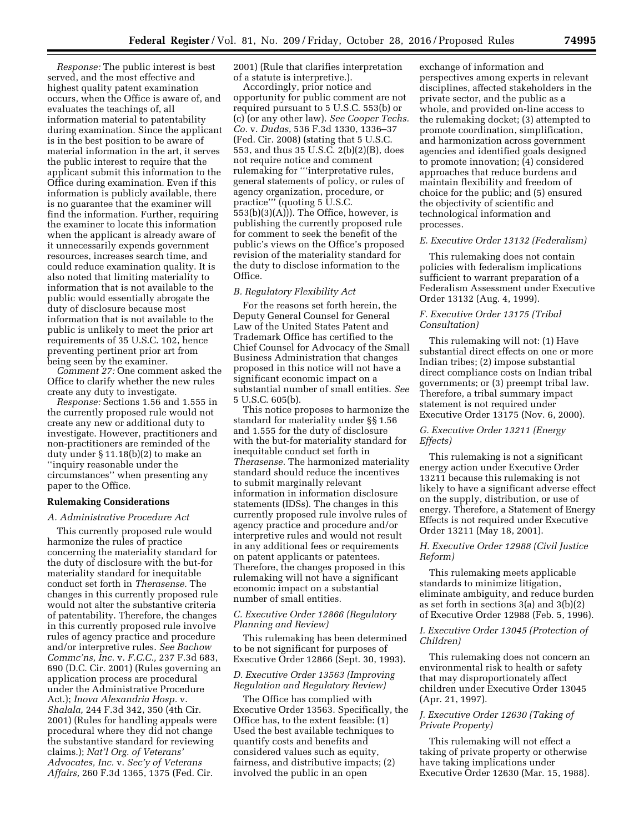*Response:* The public interest is best served, and the most effective and highest quality patent examination occurs, when the Office is aware of, and evaluates the teachings of, all information material to patentability during examination. Since the applicant is in the best position to be aware of material information in the art, it serves the public interest to require that the applicant submit this information to the Office during examination. Even if this information is publicly available, there is no guarantee that the examiner will find the information. Further, requiring the examiner to locate this information when the applicant is already aware of it unnecessarily expends government resources, increases search time, and could reduce examination quality. It is also noted that limiting materiality to information that is not available to the public would essentially abrogate the duty of disclosure because most information that is not available to the public is unlikely to meet the prior art requirements of 35 U.S.C. 102, hence preventing pertinent prior art from being seen by the examiner.

*Comment 27:* One comment asked the Office to clarify whether the new rules create any duty to investigate.

*Response:* Sections 1.56 and 1.555 in the currently proposed rule would not create any new or additional duty to investigate. However, practitioners and non-practitioners are reminded of the duty under § 11.18(b)(2) to make an ''inquiry reasonable under the circumstances'' when presenting any paper to the Office.

## **Rulemaking Considerations**

### *A. Administrative Procedure Act*

This currently proposed rule would harmonize the rules of practice concerning the materiality standard for the duty of disclosure with the but-for materiality standard for inequitable conduct set forth in *Therasense.* The changes in this currently proposed rule would not alter the substantive criteria of patentability. Therefore, the changes in this currently proposed rule involve rules of agency practice and procedure and/or interpretive rules. *See Bachow Commc'ns, Inc.* v. *F.C.C.,* 237 F.3d 683, 690 (D.C. Cir. 2001) (Rules governing an application process are procedural under the Administrative Procedure Act.); *Inova Alexandria Hosp.* v. *Shalala,* 244 F.3d 342, 350 (4th Cir. 2001) (Rules for handling appeals were procedural where they did not change the substantive standard for reviewing claims.); *Nat'l Org. of Veterans' Advocates, Inc.* v. *Sec'y of Veterans Affairs,* 260 F.3d 1365, 1375 (Fed. Cir.

2001) (Rule that clarifies interpretation of a statute is interpretive.).

Accordingly, prior notice and opportunity for public comment are not required pursuant to 5 U.S.C. 553(b) or (c) (or any other law). *See Cooper Techs. Co.* v. *Dudas,* 536 F.3d 1330, 1336–37 (Fed. Cir. 2008) (stating that 5 U.S.C. 553, and thus 35 U.S.C. 2(b)(2)(B), does not require notice and comment rulemaking for '''interpretative rules, general statements of policy, or rules of agency organization, procedure, or practice''' (quoting 5 U.S.C.  $\overline{5}$ 53(b)(3)(A))). The Office, however, is publishing the currently proposed rule for comment to seek the benefit of the public's views on the Office's proposed revision of the materiality standard for the duty to disclose information to the Office.

### *B. Regulatory Flexibility Act*

For the reasons set forth herein, the Deputy General Counsel for General Law of the United States Patent and Trademark Office has certified to the Chief Counsel for Advocacy of the Small Business Administration that changes proposed in this notice will not have a significant economic impact on a substantial number of small entities. *See*  5 U.S.C. 605(b).

This notice proposes to harmonize the standard for materiality under §§ 1.56 and 1.555 for the duty of disclosure with the but-for materiality standard for inequitable conduct set forth in *Therasense.* The harmonized materiality standard should reduce the incentives to submit marginally relevant information in information disclosure statements (IDSs). The changes in this currently proposed rule involve rules of agency practice and procedure and/or interpretive rules and would not result in any additional fees or requirements on patent applicants or patentees. Therefore, the changes proposed in this rulemaking will not have a significant economic impact on a substantial number of small entities.

## *C. Executive Order 12866 (Regulatory Planning and Review)*

This rulemaking has been determined to be not significant for purposes of Executive Order 12866 (Sept. 30, 1993).

# *D. Executive Order 13563 (Improving Regulation and Regulatory Review)*

The Office has complied with Executive Order 13563. Specifically, the Office has, to the extent feasible: (1) Used the best available techniques to quantify costs and benefits and considered values such as equity, fairness, and distributive impacts; (2) involved the public in an open

exchange of information and perspectives among experts in relevant disciplines, affected stakeholders in the private sector, and the public as a whole, and provided on-line access to the rulemaking docket; (3) attempted to promote coordination, simplification, and harmonization across government agencies and identified goals designed to promote innovation; (4) considered approaches that reduce burdens and maintain flexibility and freedom of choice for the public; and (5) ensured the objectivity of scientific and technological information and processes.

## *E. Executive Order 13132 (Federalism)*

This rulemaking does not contain policies with federalism implications sufficient to warrant preparation of a Federalism Assessment under Executive Order 13132 (Aug. 4, 1999).

## *F. Executive Order 13175 (Tribal Consultation)*

This rulemaking will not: (1) Have substantial direct effects on one or more Indian tribes; (2) impose substantial direct compliance costs on Indian tribal governments; or (3) preempt tribal law. Therefore, a tribal summary impact statement is not required under Executive Order 13175 (Nov. 6, 2000).

# *G. Executive Order 13211 (Energy Effects)*

This rulemaking is not a significant energy action under Executive Order 13211 because this rulemaking is not likely to have a significant adverse effect on the supply, distribution, or use of energy. Therefore, a Statement of Energy Effects is not required under Executive Order 13211 (May 18, 2001).

# *H. Executive Order 12988 (Civil Justice Reform)*

This rulemaking meets applicable standards to minimize litigation, eliminate ambiguity, and reduce burden as set forth in sections 3(a) and 3(b)(2) of Executive Order 12988 (Feb. 5, 1996).

# *I. Executive Order 13045 (Protection of Children)*

This rulemaking does not concern an environmental risk to health or safety that may disproportionately affect children under Executive Order 13045 (Apr. 21, 1997).

# *J. Executive Order 12630 (Taking of Private Property)*

This rulemaking will not effect a taking of private property or otherwise have taking implications under Executive Order 12630 (Mar. 15, 1988).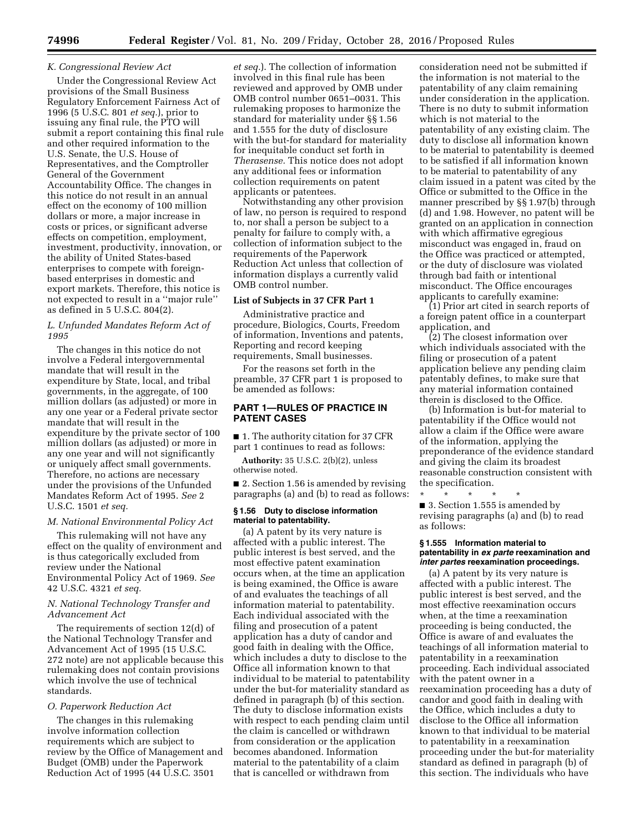## *K. Congressional Review Act*

Under the Congressional Review Act provisions of the Small Business Regulatory Enforcement Fairness Act of 1996 (5 U.S.C. 801 *et seq.*), prior to issuing any final rule, the PTO will submit a report containing this final rule and other required information to the U.S. Senate, the U.S. House of Representatives, and the Comptroller General of the Government Accountability Office. The changes in this notice do not result in an annual effect on the economy of 100 million dollars or more, a major increase in costs or prices, or significant adverse effects on competition, employment, investment, productivity, innovation, or the ability of United States-based enterprises to compete with foreignbased enterprises in domestic and export markets. Therefore, this notice is not expected to result in a ''major rule'' as defined in 5 U.S.C. 804(2).

## *L. Unfunded Mandates Reform Act of 1995*

The changes in this notice do not involve a Federal intergovernmental mandate that will result in the expenditure by State, local, and tribal governments, in the aggregate, of 100 million dollars (as adjusted) or more in any one year or a Federal private sector mandate that will result in the expenditure by the private sector of 100 million dollars (as adjusted) or more in any one year and will not significantly or uniquely affect small governments. Therefore, no actions are necessary under the provisions of the Unfunded Mandates Reform Act of 1995. *See* 2 U.S.C. 1501 *et seq.* 

### *M. National Environmental Policy Act*

This rulemaking will not have any effect on the quality of environment and is thus categorically excluded from review under the National Environmental Policy Act of 1969. *See*  42 U.S.C. 4321 *et seq.* 

# *N. National Technology Transfer and Advancement Act*

The requirements of section 12(d) of the National Technology Transfer and Advancement Act of 1995 (15 U.S.C. 272 note) are not applicable because this rulemaking does not contain provisions which involve the use of technical standards.

#### *O. Paperwork Reduction Act*

The changes in this rulemaking involve information collection requirements which are subject to review by the Office of Management and Budget (OMB) under the Paperwork Reduction Act of 1995 (44 U.S.C. 3501

*et seq.*). The collection of information involved in this final rule has been reviewed and approved by OMB under OMB control number 0651–0031. This rulemaking proposes to harmonize the standard for materiality under §§ 1.56 and 1.555 for the duty of disclosure with the but-for standard for materiality for inequitable conduct set forth in *Therasense.* This notice does not adopt any additional fees or information collection requirements on patent applicants or patentees.

Notwithstanding any other provision of law, no person is required to respond to, nor shall a person be subject to a penalty for failure to comply with, a collection of information subject to the requirements of the Paperwork Reduction Act unless that collection of information displays a currently valid OMB control number.

### **List of Subjects in 37 CFR Part 1**

Administrative practice and procedure, Biologics, Courts, Freedom of information, Inventions and patents, Reporting and record keeping requirements, Small businesses.

For the reasons set forth in the preamble, 37 CFR part 1 is proposed to be amended as follows:

# **PART 1—RULES OF PRACTICE IN PATENT CASES**

■ 1. The authority citation for 37 CFR part 1 continues to read as follows:

**Authority:** 35 U.S.C. 2(b)(2), unless otherwise noted.

■ 2. Section 1.56 is amended by revising paragraphs (a) and (b) to read as follows:

## **§ 1.56 Duty to disclose information material to patentability.**

(a) A patent by its very nature is affected with a public interest. The public interest is best served, and the most effective patent examination occurs when, at the time an application is being examined, the Office is aware of and evaluates the teachings of all information material to patentability. Each individual associated with the filing and prosecution of a patent application has a duty of candor and good faith in dealing with the Office, which includes a duty to disclose to the Office all information known to that individual to be material to patentability under the but-for materiality standard as defined in paragraph (b) of this section. The duty to disclose information exists with respect to each pending claim until the claim is cancelled or withdrawn from consideration or the application becomes abandoned. Information material to the patentability of a claim that is cancelled or withdrawn from

consideration need not be submitted if the information is not material to the patentability of any claim remaining under consideration in the application. There is no duty to submit information which is not material to the patentability of any existing claim. The duty to disclose all information known to be material to patentability is deemed to be satisfied if all information known to be material to patentability of any claim issued in a patent was cited by the Office or submitted to the Office in the manner prescribed by §§ 1.97(b) through (d) and 1.98. However, no patent will be granted on an application in connection with which affirmative egregious misconduct was engaged in, fraud on the Office was practiced or attempted, or the duty of disclosure was violated through bad faith or intentional misconduct. The Office encourages applicants to carefully examine:

(1) Prior art cited in search reports of a foreign patent office in a counterpart application, and

(2) The closest information over which individuals associated with the filing or prosecution of a patent application believe any pending claim patentably defines, to make sure that any material information contained therein is disclosed to the Office.

(b) Information is but-for material to patentability if the Office would not allow a claim if the Office were aware of the information, applying the preponderance of the evidence standard and giving the claim its broadest reasonable construction consistent with the specification.

\* \* \* \* \* ■ 3. Section 1.555 is amended by revising paragraphs (a) and (b) to read as follows:

#### **§ 1.555 Information material to patentability in** *ex parte* **reexamination and**  *inter partes* **reexamination proceedings.**

(a) A patent by its very nature is affected with a public interest. The public interest is best served, and the most effective reexamination occurs when, at the time a reexamination proceeding is being conducted, the Office is aware of and evaluates the teachings of all information material to patentability in a reexamination proceeding. Each individual associated with the patent owner in a reexamination proceeding has a duty of candor and good faith in dealing with the Office, which includes a duty to disclose to the Office all information known to that individual to be material to patentability in a reexamination proceeding under the but-for materiality standard as defined in paragraph (b) of this section. The individuals who have